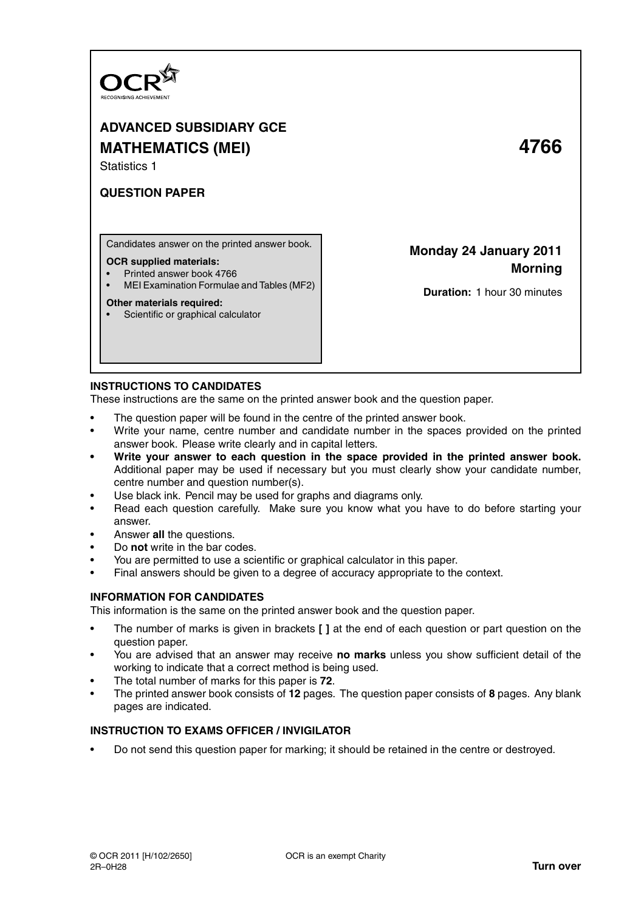

# **ADVANCED SUBSIDIARY GCE MATHEMATICS (MEI) 4766**

Statistics 1

#### **QUESTION PAPER**

Candidates answer on the printed answer book.

#### **OCR supplied materials:**

- Printed answer book 4766
- MEI Examination Formulae and Tables (MF2)

#### **Other materials required:**

• Scientific or graphical calculator

## **Monday 24 January 2011 Morning**

**Duration:** 1 hour 30 minutes

#### **INSTRUCTIONS TO CANDIDATES**

These instructions are the same on the printed answer book and the question paper.

- The question paper will be found in the centre of the printed answer book.
- Write your name, centre number and candidate number in the spaces provided on the printed answer book. Please write clearly and in capital letters.
- **Write your answer to each question in the space provided in the printed answer book.** Additional paper may be used if necessary but you must clearly show your candidate number, centre number and question number(s).
- Use black ink. Pencil may be used for graphs and diagrams only.
- Read each question carefully. Make sure you know what you have to do before starting your answer.
- Answer **all** the questions.
- Do **not** write in the bar codes.
- You are permitted to use a scientific or graphical calculator in this paper.
- Final answers should be given to a degree of accuracy appropriate to the context.

#### **INFORMATION FOR CANDIDATES**

This information is the same on the printed answer book and the question paper.

- The number of marks is given in brackets **[ ]** at the end of each question or part question on the question paper.
- You are advised that an answer may receive **no marks** unless you show sufficient detail of the working to indicate that a correct method is being used.
- The total number of marks for this paper is **72**.
- The printed answer book consists of **12** pages. The question paper consists of **8** pages. Any blank pages are indicated.

#### **INSTRUCTION TO EXAMS OFFICER / INVIGILATOR**

• Do not send this question paper for marking; it should be retained in the centre or destroyed.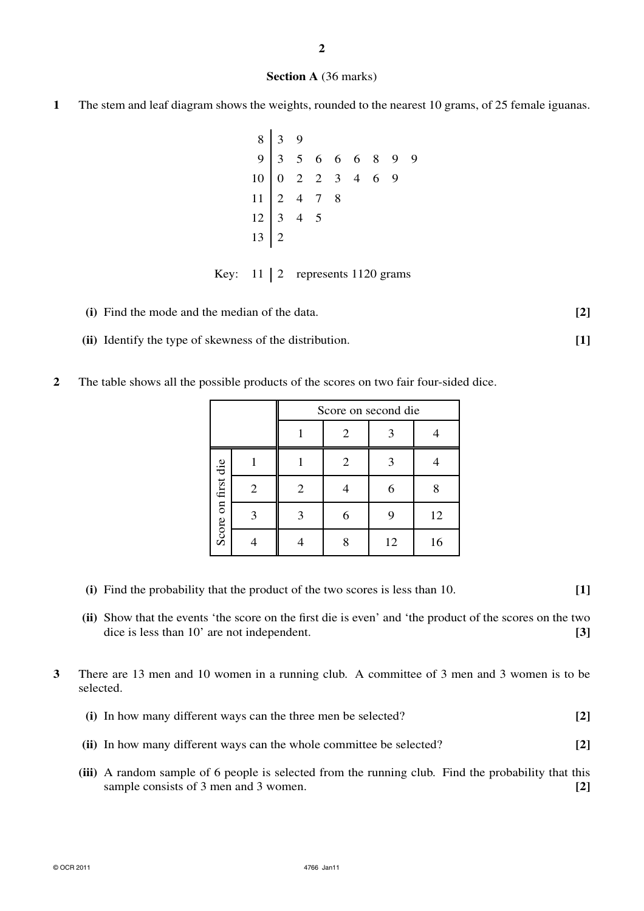## **Section A** (36 marks)

- **1** The stem and leaf diagram shows the weights, rounded to the nearest 10 grams, of 25 female iguanas.
	- 8 3 9 9 3 5 6 6 6 8 9 9  $10 \ 0 \ 2 \ 2 \ 3 \ 4 \ 6 \ 9$  $11 \ 2 \ 4 \ 7 \ 8$  $12 \mid 3 \mid 4 \mid 5$ 13 2

Key:  $11 \mid 2$  represents 1120 grams

- **(i)** Find the mode and the median of the data. **[2]**
- **(ii)** Identify the type of skewness of the distribution. **[1]**
- **2** The table shows all the possible products of the scores on two fair four-sided dice.

|                    |                |                | 2              | 3  |    |
|--------------------|----------------|----------------|----------------|----|----|
|                    |                |                | $\overline{2}$ | 3  |    |
| Score on first die | $\overline{2}$ | $\overline{2}$ |                | 6  | 8  |
|                    | 3              | 3              | 6              |    | 12 |
|                    |                |                | 8              | 12 | 16 |

Score on second die

- **(i)** Find the probability that the product of the two scores is less than 10. **[1]**
- **(ii)** Show that the events 'the score on the first die is even' and 'the product of the scores on the two dice is less than 10' are not independent. **[3]**
- **3** There are 13 men and 10 women in a running club. A committee of 3 men and 3 women is to be selected.
	- **(i)** In how many different ways can the three men be selected? **[2]**
	- **(ii)** In how many different ways can the whole committee be selected? **[2]**
	- **(iii)** A random sample of 6 people is selected from the running club. Find the probability that this sample consists of 3 men and 3 women. **[2]**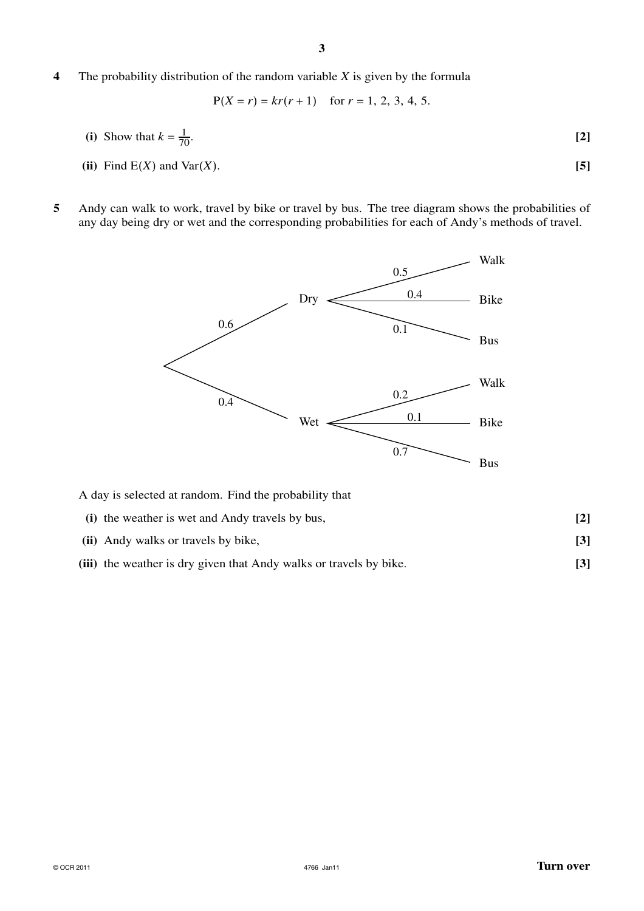#### **4** The probability distribution of the random variable *X* is given by the formula

$$
P(X = r) = kr(r + 1) \quad \text{for } r = 1, 2, 3, 4, 5.
$$

- (i) Show that  $k = \frac{1}{70}$  $\frac{1}{70}$ . [2]
- (ii) Find  $E(X)$  and  $Var(X)$ . [5]
- **5** Andy can walk to work, travel by bike or travel by bus. The tree diagram shows the probabilities of any day being dry or wet and the corresponding probabilities for each of Andy's methods of travel.



A day is selected at random. Find the probability that

| (i) the weather is wet and Andy travels by bus,                    |                   |
|--------------------------------------------------------------------|-------------------|
| (ii) Andy walks or travels by bike,                                | $\lceil 3 \rceil$ |
| (iii) the weather is dry given that Andy walks or travels by bike. |                   |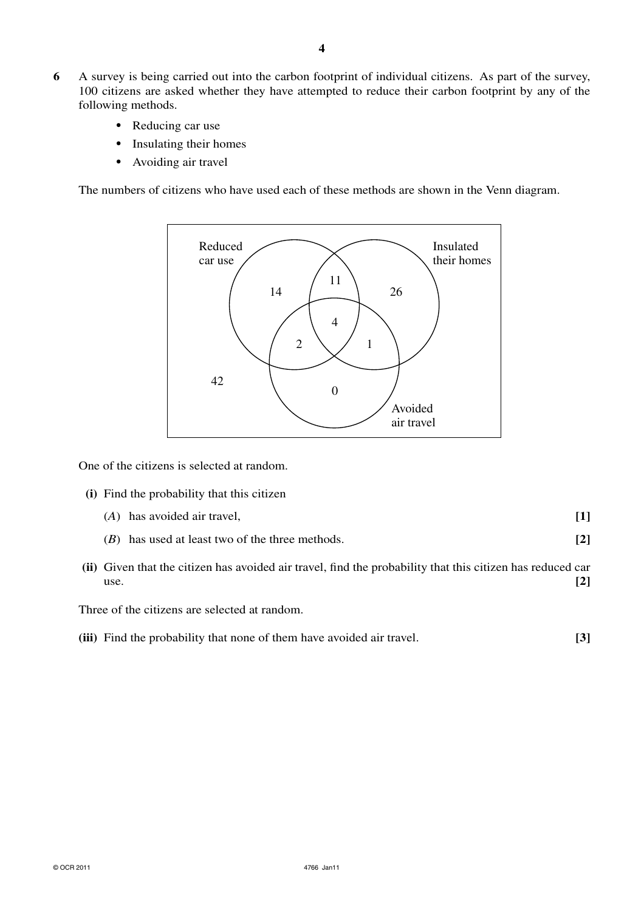- **6** A survey is being carried out into the carbon footprint of individual citizens. As part of the survey, 100 citizens are asked whether they have attempted to reduce their carbon footprint by any of the following methods.
	- **•** Reducing car use
	- **•** Insulating their homes
	- **•** Avoiding air travel

The numbers of citizens who have used each of these methods are shown in the Venn diagram.



One of the citizens is selected at random.

- **(i)** Find the probability that this citizen
	- (*A*) has avoided air travel, **[1]**
	- (*B*) has used at least two of the three methods. **[2]**
- **(ii)** Given that the citizen has avoided air travel, find the probability that this citizen has reduced car use. **[2]**

Three of the citizens are selected at random.

**(iii)** Find the probability that none of them have avoided air travel. **[3]**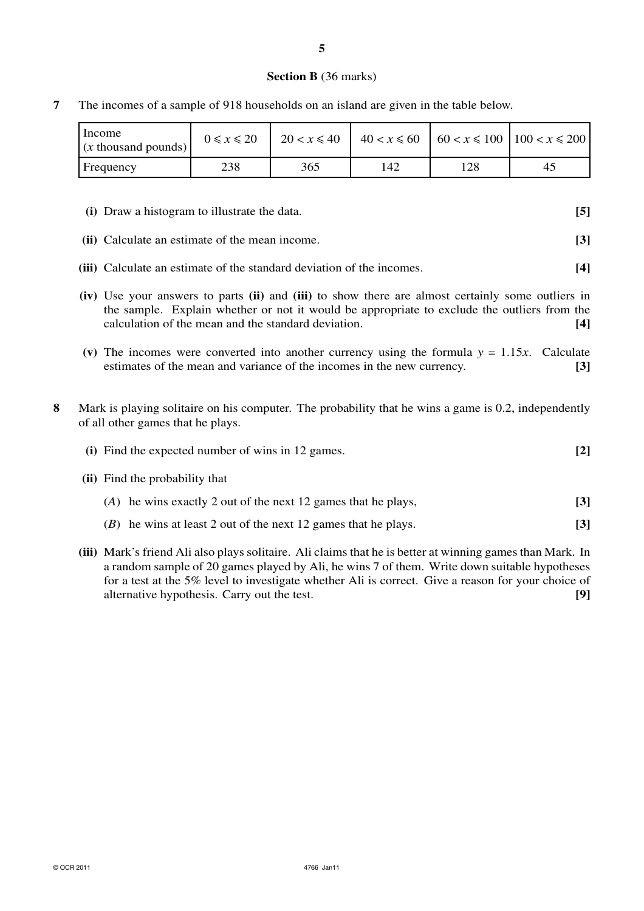#### **Section B** (36 marks)

**7** The incomes of a sample of 918 households on an island are given in the table below.

| Income<br>$(x$ thousand pounds) | $0 \leqslant x \leqslant 20$ |     |     |     | $20 < x \le 40$   $40 < x \le 60$   $60 < x \le 100$   $100 < x \le 200$ |
|---------------------------------|------------------------------|-----|-----|-----|--------------------------------------------------------------------------|
| Frequency                       | 238                          | 365 | 142 | 128 | 41                                                                       |

- **(i)** Draw a histogram to illustrate the data. **[5]**
- **(ii)** Calculate an estimate of the mean income. **[3]**
- **(iii)** Calculate an estimate of the standard deviation of the incomes. **[4]**
- **(iv)** Use your answers to parts **(ii)** and **(iii)** to show there are almost certainly some outliers in the sample. Explain whether or not it would be appropriate to exclude the outliers from the calculation of the mean and the standard deviation. **[4]**
- (v) The incomes were converted into another currency using the formula  $y = 1.15x$ . Calculate estimates of the mean and variance of the incomes in the new currency. **[3]**
- **8** Mark is playing solitaire on his computer. The probability that he wins a game is 0.2, independently of all other games that he plays.

| (i) Find the expected number of wins in 12 games. |  |
|---------------------------------------------------|--|
|                                                   |  |

- **(ii)** Find the probability that
	- (*A*) he wins exactly 2 out of the next 12 games that he plays, **[3]**
	- (*B*) he wins at least 2 out of the next 12 games that he plays. **[3]**
- **(iii)** Mark's friend Ali also plays solitaire. Ali claims that he is better at winning games than Mark. In a random sample of 20 games played by Ali, he wins 7 of them. Write down suitable hypotheses for a test at the 5% level to investigate whether Ali is correct. Give a reason for your choice of alternative hypothesis. Carry out the test. **[9]**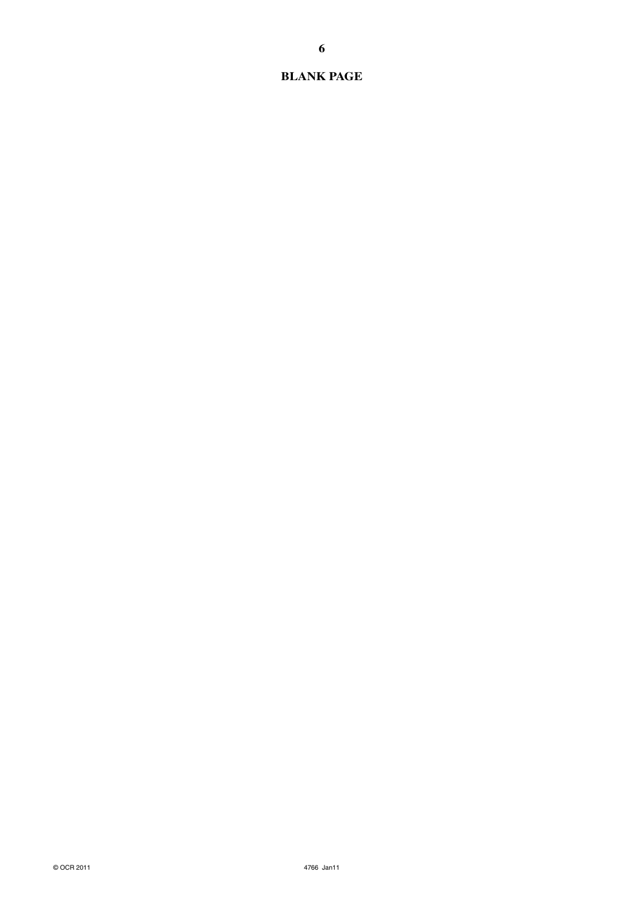#### **BLANK PAGE**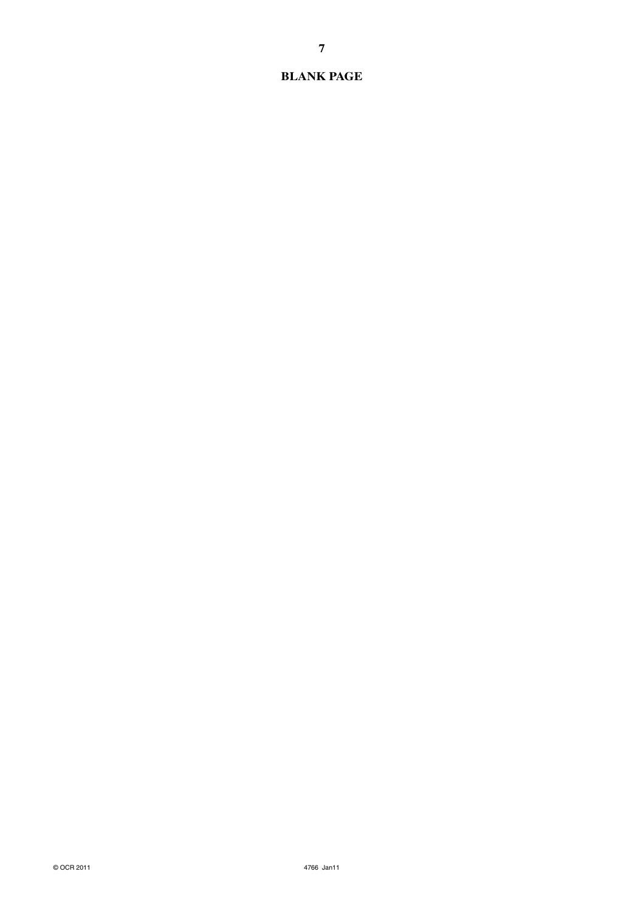#### **BLANK PAGE**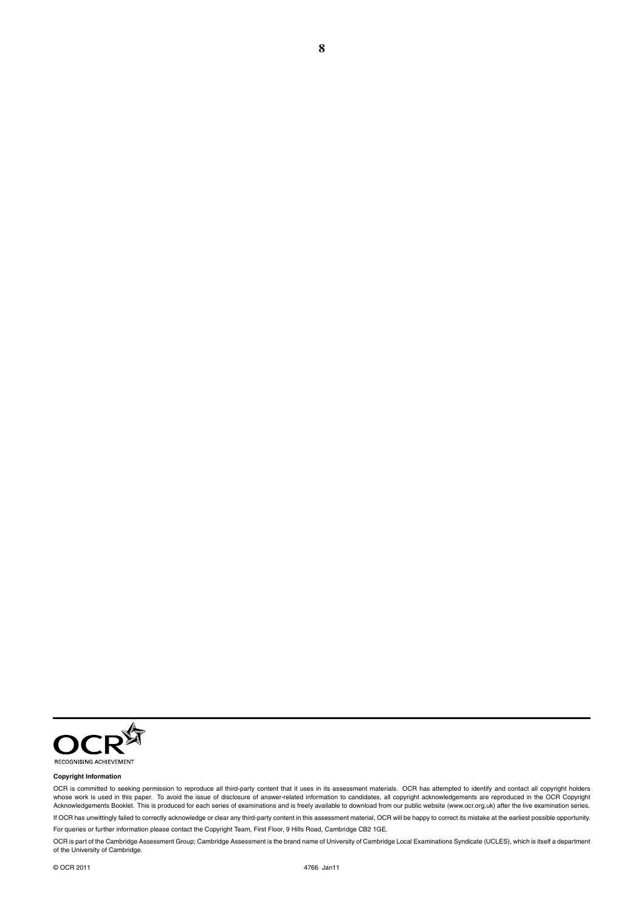

#### **Copyright Information**

OCR is committed to seeking permission to reproduce all third-party content that it uses in its assessment materials. OCR has attempted to identify and contact all copyright holders whose work is used in this paper. To avoid the issue of disclosure of answer-related information to candidates, all copyright acknowledgements are reproduced in the OCR Copyright Acknowledgements Booklet. This is produced for each series of examinations and is freely available to download from our public website (www.ocr.org.uk) after the live examination series.

**8**

If OCR has unwittingly failed to correctly acknowledge or clear any third-party content in this assessment material, OCR will be happy to correct its mistake at the earliest possible opportunity.

For queries or further information please contact the Copyright Team, First Floor, 9 Hills Road, Cambridge CB2 1GE.

OCR is part of the Cambridge Assessment Group; Cambridge Assessment is the brand name of University of Cambridge Local Examinations Syndicate (UCLES), which is itself a department of the University of Cambridge.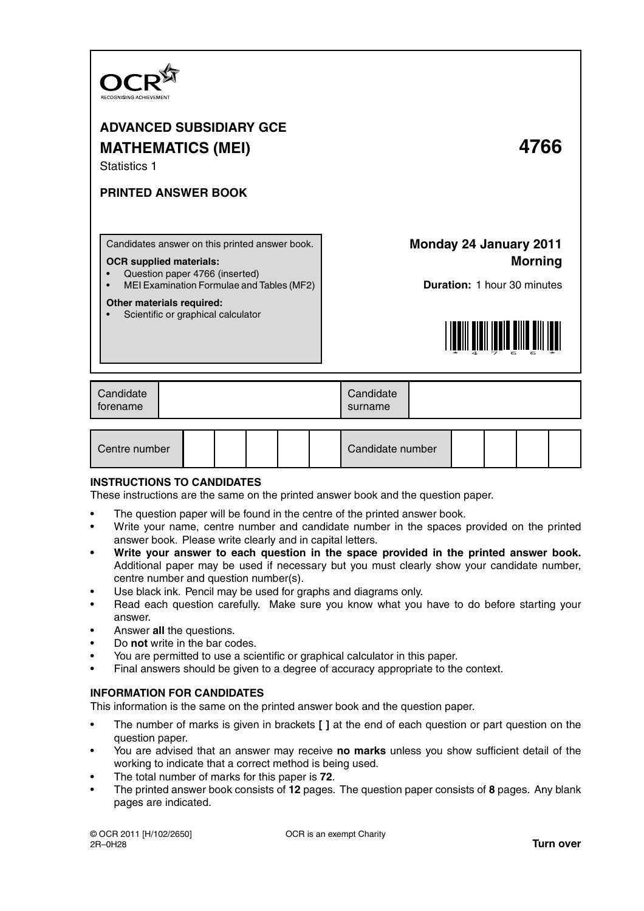

# **ADVANCED SUBSIDIARY GCE MATHEMATICS (MEI) 4766**

Statistics 1

## **PRINTED ANSWER BOOK**

Candidates answer on this printed answer book.

#### **OCR supplied materials:**

- Question paper 4766 (inserted)
- MEI Examination Formulae and Tables (MF2)

#### **Other materials required:**

Scientific or graphical calculator

# **Monday 24 January 2011 Morning**

**Duration:** 1 hour 30 minutes



|  | Candidate<br>torename |  | Candidate<br>surname |  |
|--|-----------------------|--|----------------------|--|
|--|-----------------------|--|----------------------|--|

| Centre number |  |  |  |  |  | Candidate number |  |  |  |  |
|---------------|--|--|--|--|--|------------------|--|--|--|--|
|---------------|--|--|--|--|--|------------------|--|--|--|--|

#### **INSTRUCTIONS TO CANDIDATES**

These instructions are the same on the printed answer book and the question paper.

- The question paper will be found in the centre of the printed answer book.
- Write your name, centre number and candidate number in the spaces provided on the printed answer book. Please write clearly and in capital letters.
- **Write your answer to each question in the space provided in the printed answer book.** Additional paper may be used if necessary but you must clearly show your candidate number, centre number and question number(s).
- Use black ink. Pencil may be used for graphs and diagrams only.
- Read each question carefully. Make sure you know what you have to do before starting your answer.
- Answer **all** the questions.
- Do **not** write in the bar codes.
- You are permitted to use a scientific or graphical calculator in this paper.
- Final answers should be given to a degree of accuracy appropriate to the context.

#### **INFORMATION FOR CANDIDATES**

This information is the same on the printed answer book and the question paper.

- The number of marks is given in brackets **[ ]** at the end of each question or part question on the question paper.
- You are advised that an answer may receive **no marks** unless you show sufficient detail of the working to indicate that a correct method is being used.
- The total number of marks for this paper is **72**.
- The printed answer book consists of **12** pages. The question paper consists of **8** pages. Any blank pages are indicated.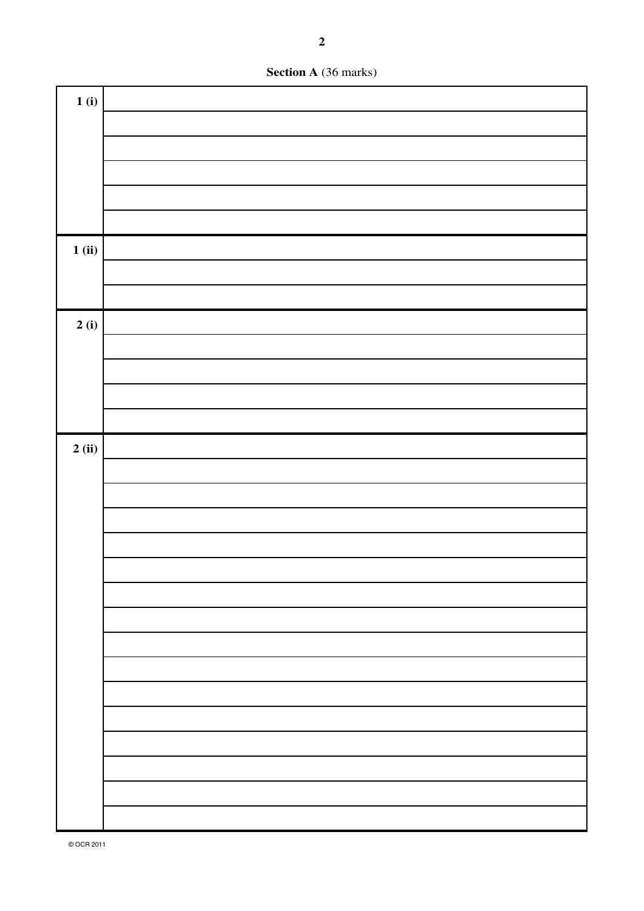

| 1(i)  |  |
|-------|--|
|       |  |
|       |  |
|       |  |
|       |  |
|       |  |
| 1(ii) |  |
|       |  |
|       |  |
|       |  |
| 2(i)  |  |
|       |  |
|       |  |
|       |  |
|       |  |
| 2(i)  |  |
|       |  |
|       |  |
|       |  |
|       |  |
|       |  |
|       |  |
|       |  |
|       |  |
|       |  |
|       |  |
|       |  |
|       |  |
|       |  |
|       |  |
|       |  |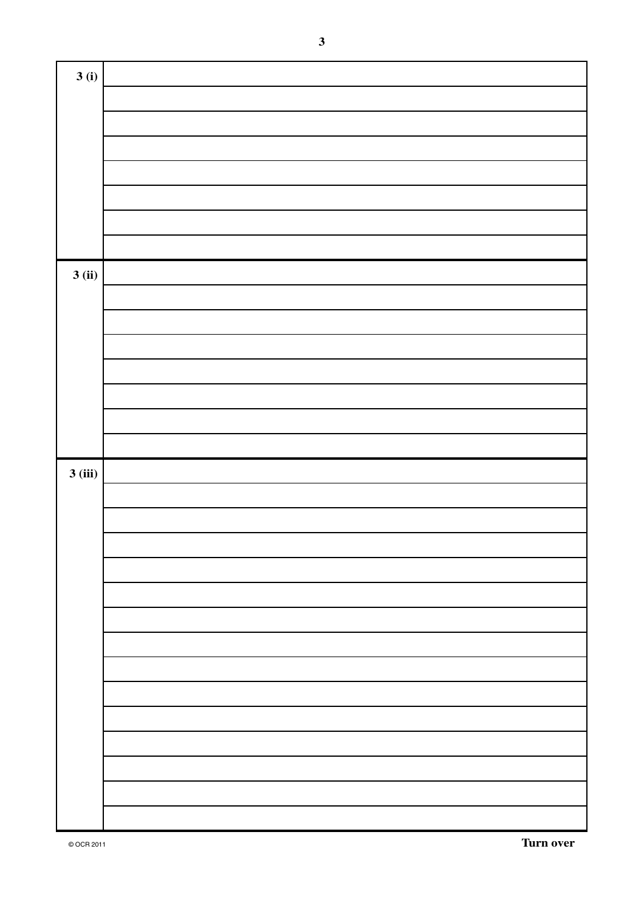| 3(i)   |  |
|--------|--|
|        |  |
|        |  |
|        |  |
|        |  |
|        |  |
|        |  |
|        |  |
|        |  |
| 3(i)   |  |
|        |  |
|        |  |
|        |  |
|        |  |
|        |  |
|        |  |
|        |  |
|        |  |
|        |  |
| 3(iii) |  |
|        |  |
|        |  |
|        |  |
|        |  |
|        |  |
|        |  |
|        |  |
|        |  |
|        |  |
|        |  |
|        |  |
|        |  |
|        |  |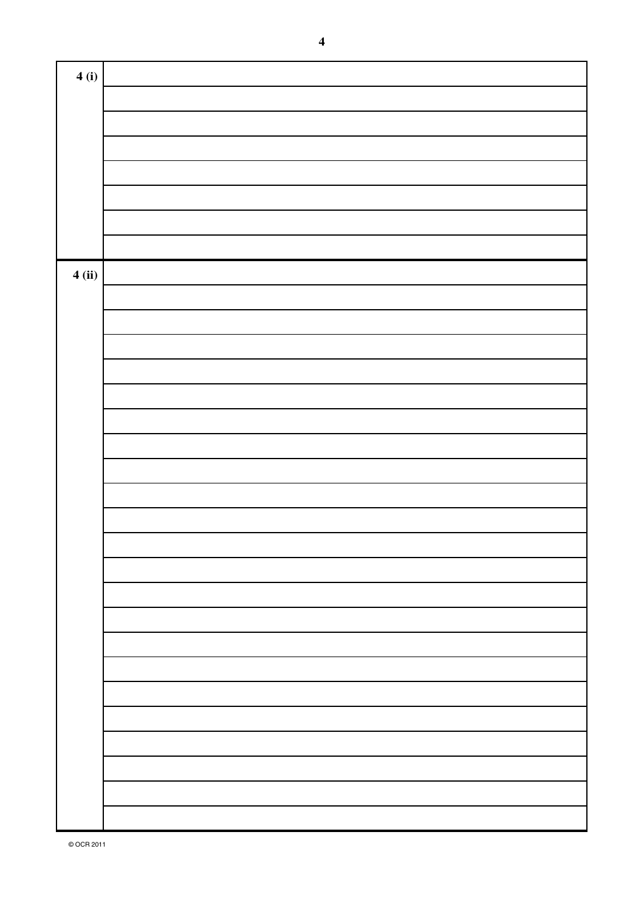| 4(i) |  |
|------|--|
|      |  |
|      |  |
|      |  |
|      |  |
|      |  |
|      |  |
|      |  |
|      |  |
|      |  |
|      |  |
| 4(i) |  |
|      |  |
|      |  |
|      |  |
|      |  |
|      |  |
|      |  |
|      |  |
|      |  |
|      |  |
|      |  |
|      |  |
|      |  |
|      |  |
|      |  |
|      |  |
|      |  |
|      |  |
|      |  |
|      |  |
|      |  |
|      |  |
|      |  |
|      |  |
|      |  |
|      |  |
|      |  |
|      |  |
|      |  |
|      |  |
|      |  |
|      |  |
|      |  |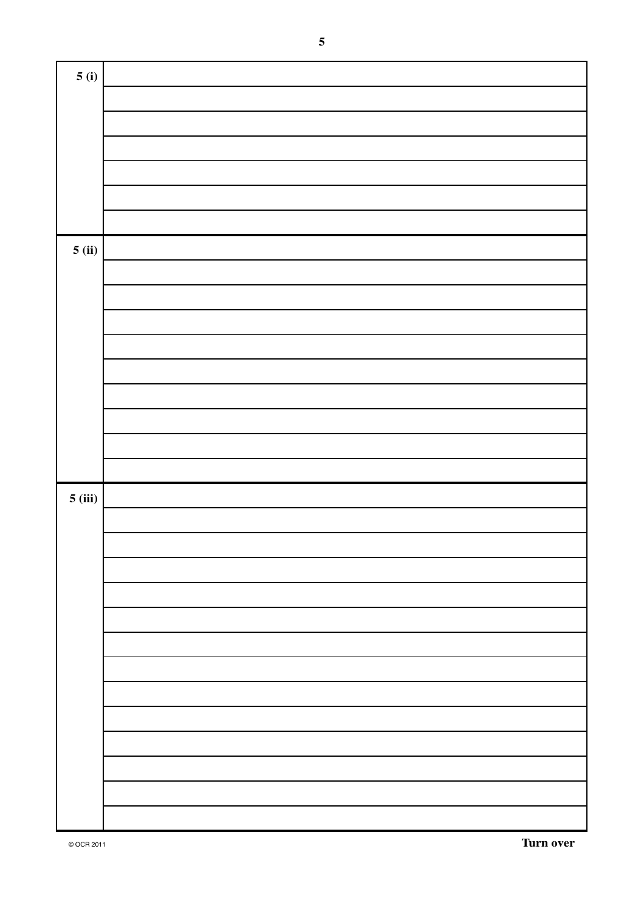| 5(i)          |  |
|---------------|--|
|               |  |
|               |  |
|               |  |
|               |  |
|               |  |
|               |  |
|               |  |
| <b>5</b> (ii) |  |
|               |  |
|               |  |
|               |  |
|               |  |
|               |  |
|               |  |
|               |  |
|               |  |
|               |  |
|               |  |
| 5(iii)        |  |
|               |  |
|               |  |
|               |  |
|               |  |
|               |  |
|               |  |
|               |  |
|               |  |
|               |  |
|               |  |
|               |  |
|               |  |
|               |  |
|               |  |
|               |  |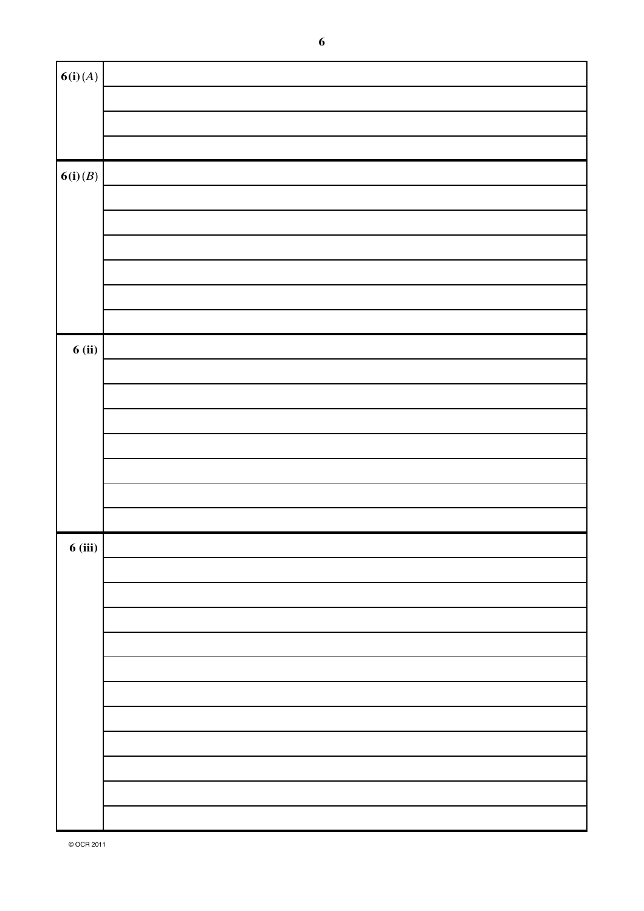| 6(i)(A)        |  |
|----------------|--|
|                |  |
|                |  |
|                |  |
| 6(i)(B)        |  |
|                |  |
|                |  |
|                |  |
|                |  |
|                |  |
|                |  |
| 6(ii)          |  |
|                |  |
|                |  |
|                |  |
|                |  |
|                |  |
|                |  |
|                |  |
| <b>6</b> (iii) |  |
|                |  |
|                |  |
|                |  |
|                |  |
|                |  |
|                |  |
|                |  |
|                |  |
|                |  |
|                |  |
|                |  |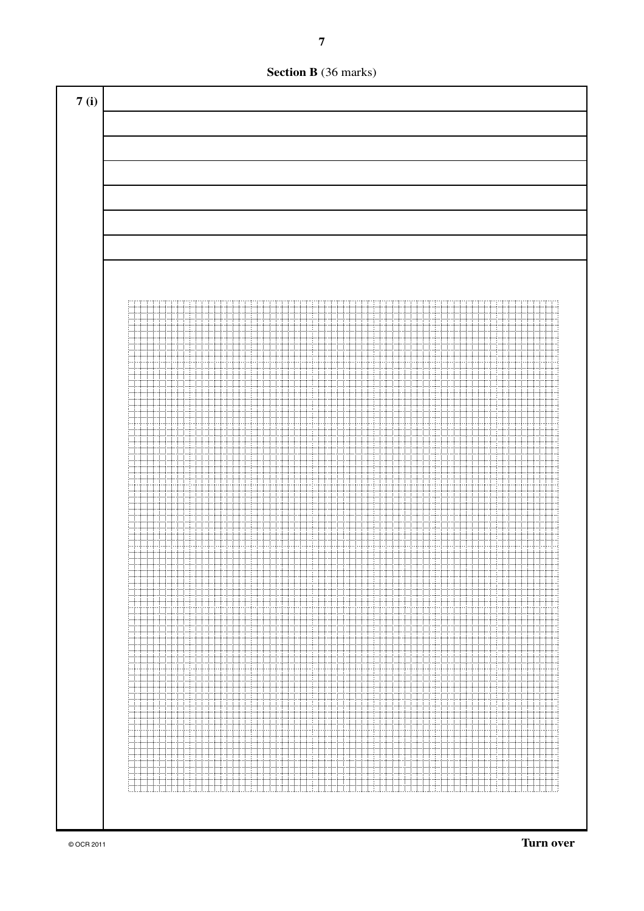

**Section B** (36 marks)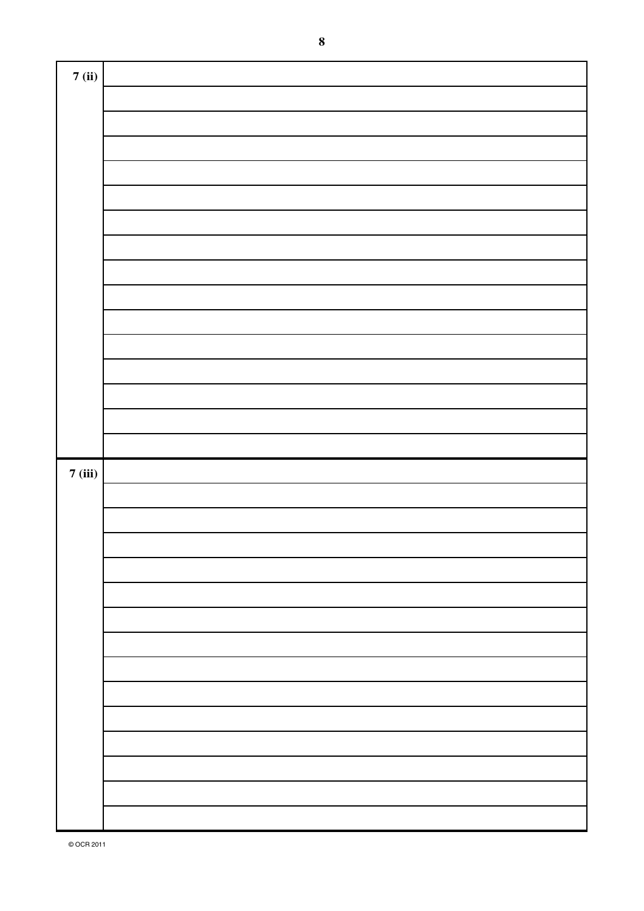| 7(ii)  |  |
|--------|--|
|        |  |
|        |  |
|        |  |
|        |  |
|        |  |
|        |  |
|        |  |
|        |  |
|        |  |
|        |  |
|        |  |
|        |  |
|        |  |
|        |  |
|        |  |
|        |  |
|        |  |
|        |  |
| 7(iii) |  |
|        |  |
|        |  |
|        |  |
|        |  |
|        |  |
|        |  |
|        |  |
|        |  |
|        |  |
|        |  |
|        |  |
|        |  |
|        |  |
|        |  |
|        |  |
|        |  |
|        |  |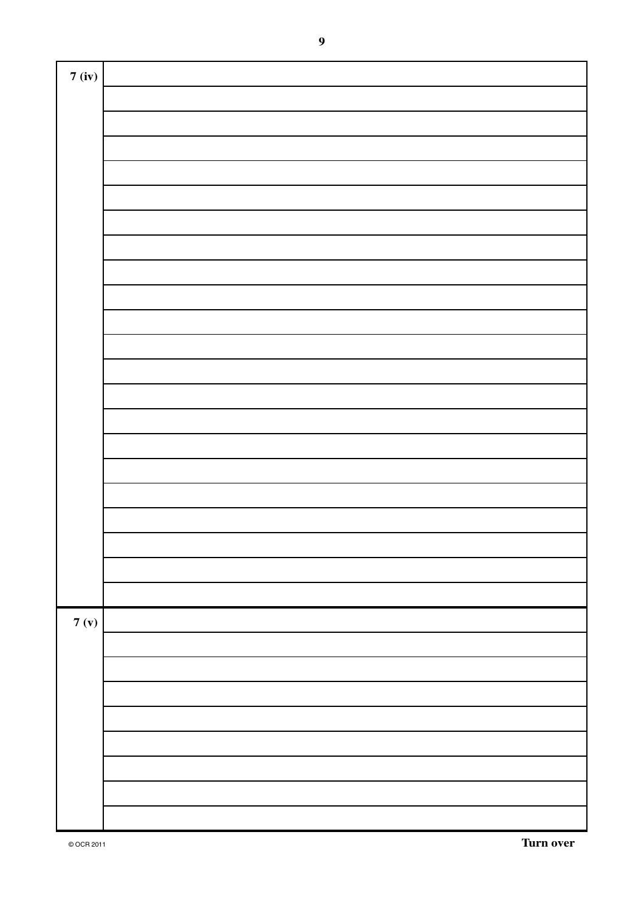| 7(iv) |  |
|-------|--|
|       |  |
|       |  |
|       |  |
|       |  |
|       |  |
|       |  |
|       |  |
|       |  |
|       |  |
|       |  |
|       |  |
|       |  |
|       |  |
|       |  |
|       |  |
|       |  |
|       |  |
|       |  |
|       |  |
|       |  |
|       |  |
|       |  |
|       |  |
|       |  |
|       |  |
|       |  |
| 7(y)  |  |
|       |  |
|       |  |
|       |  |
|       |  |
|       |  |
|       |  |
|       |  |
|       |  |
|       |  |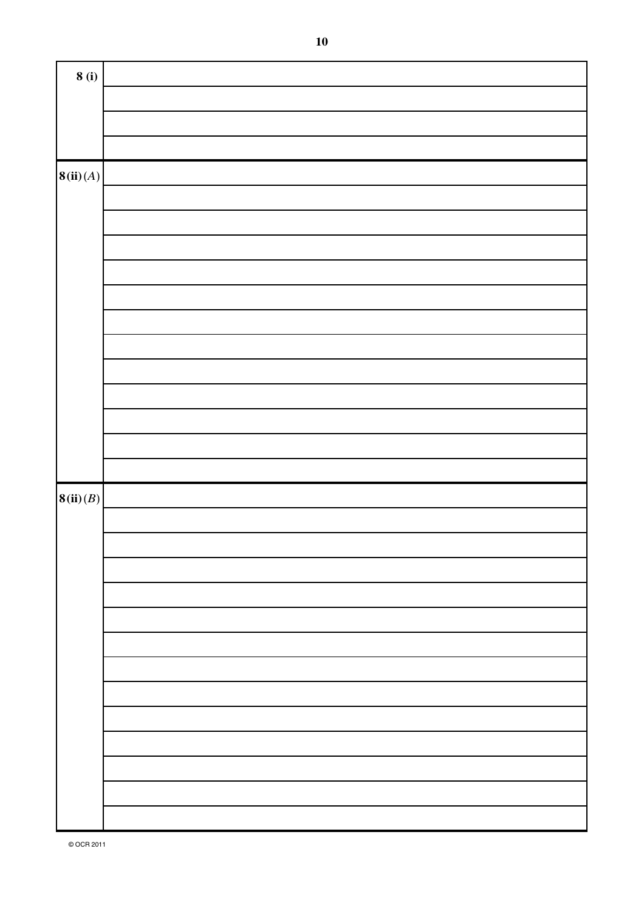| 8(i)     |  |
|----------|--|
|          |  |
|          |  |
|          |  |
|          |  |
| 8(ii)(A) |  |
|          |  |
|          |  |
|          |  |
|          |  |
|          |  |
|          |  |
|          |  |
|          |  |
|          |  |
|          |  |
|          |  |
|          |  |
|          |  |
| 8(ii)(B) |  |
|          |  |
|          |  |
|          |  |
|          |  |
|          |  |
|          |  |
|          |  |
|          |  |
|          |  |
|          |  |
|          |  |
|          |  |
|          |  |
|          |  |
|          |  |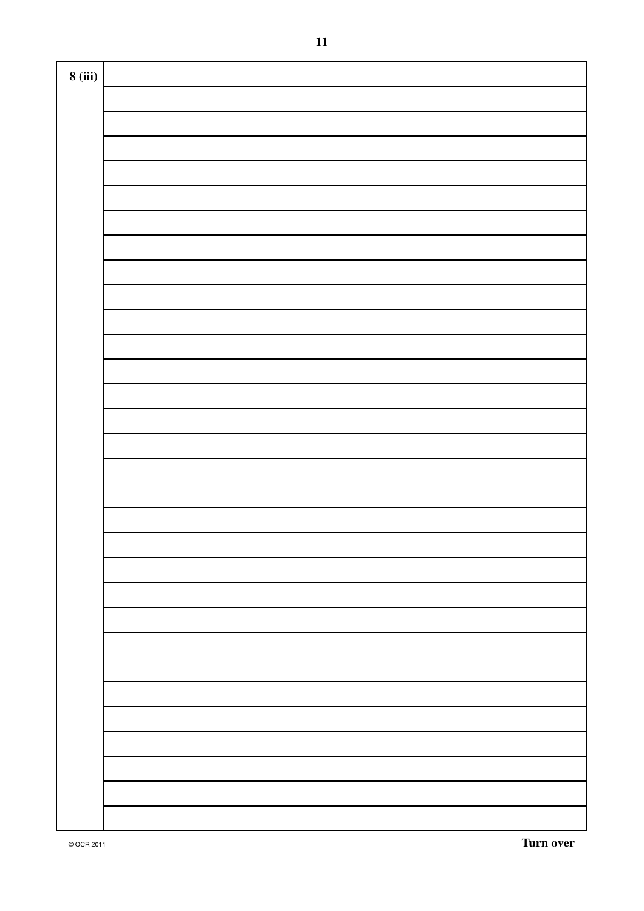| <b>8</b> (iii) |  |
|----------------|--|
|                |  |
|                |  |
|                |  |
|                |  |
|                |  |
|                |  |
|                |  |
|                |  |
|                |  |
|                |  |
|                |  |
|                |  |
|                |  |
|                |  |
|                |  |
|                |  |
|                |  |
|                |  |
|                |  |
|                |  |
|                |  |
|                |  |
|                |  |
|                |  |
|                |  |
|                |  |
|                |  |
|                |  |
|                |  |
|                |  |